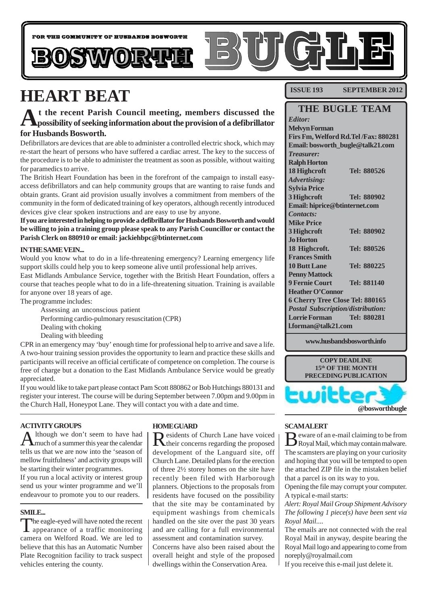

# **HEART BEAT**

# **At the recent Parish Council meeting, members discussed the possibility of seeking information about the provision of a defibrillator for Husbands Bosworth.**

Defibrillators are devices that are able to administer a controlled electric shock, which may re-start the heart of persons who have suffered a cardiac arrest. The key to the success of the procedure is to be able to administer the treatment as soon as possible, without waiting for paramedics to arrive.

The British Heart Foundation has been in the forefront of the campaign to install easyaccess defibrillators and can help community groups that are wanting to raise funds and obtain grants. Grant aid provision usually involves a commitment from members of the community in the form of dedicated training of key operators, although recently introduced devices give clear spoken instructions and are easy to use by anyone.

**If you are interested in helping to provide a defibrillator for Husbands Bosworth and would be willing to join a training group please speak to any Parish Councillor or contact the Parish Clerk on 880910 or email: jackiehbpc@btinternet.com**

#### **IN THE SAME VEIN...**

Would you know what to do in a life-threatening emergency? Learning emergency life support skills could help you to keep someone alive until professional help arrives.

East Midlands Ambulance Service, together with the British Heart Foundation, offers a course that teaches people what to do in a life-threatening situation. Training is available for anyone over 18 years of age.

The programme includes:

- Assessing an unconscious patient Performing cardio-pulmonary resuscitation (CPR)
- Dealing with choking
- Dealing with bleeding

CPR in an emergency may 'buy' enough time for professional help to arrive and save a life. A two-hour training session provides the opportunity to learn and practice these skills and participants will receive an official certificate of competence on completion. The course is free of charge but a donation to the East Midlands Ambulance Service would be greatly appreciated.

If you would like to take part please contact Pam Scott 880862 or Bob Hutchings 880131 and register your interest. The course will be during September between 7.00pm and 9.00pm in the Church Hall, Honeypot Lane. They will contact you with a date and time.

### **ACTIVITY GROUPS**

Although we don't seem to have had<br>Amuch of a summer this year the calendar tells us that we are now into the 'season of mellow fruitfulness' and activity groups will be starting their winter programmes.

If you run a local activity or interest group send us your winter programme and we'll endeavour to promote you to our readers.

### **SMILE...**

The eagle-eyed will have noted the recent<br>appearance of a traffic monitoring camera on Welford Road. We are led to believe that this has an Automatic Number Plate Recognition facility to track suspect vehicles entering the county.

### **HOME GUARD**

Residents of Church Lane have voiced their concerns regarding the proposed development of the Languard site, off Church Lane. Detailed plans for the erection of three 2½ storey homes on the site have recently been filed with Harborough planners. Objections to the proposals from residents have focused on the possibility that the site may be contaminated by equipment washings from chemicals handled on the site over the past 30 years and are calling for a full environmental assessment and contamination survey. Concerns have also been raised about the overall height and style of the proposed dwellings within the Conservation Area.

**ISSUE 193 SEPTEMBER 2012** 

# **THE BUGLE TEAM**

*Editor:* **Melvyn Forman Firs Fm, Welford Rd.Tel /Fax: 880281 Email: bosworth\_bugle@talk21.com** *Treasurer:* **Ralph Horton 18 Highcroft Tel: 880526** *Advertising:* **Sylvia Price 3 Highcroft Tel: 880902 Email: hiprice@btinternet.com** *Contacts:* **Mike Price 3 Highcroft Tel: 880902 Jo Horton 18 Highcroft. Tel: 880526 Frances Smith 10 Butt Lane Tel: 880225 Penny Mattock 9 Fernie Court Tel: 881140 Heather O'Connor 6 Cherry Tree Close Tel: 880165** *Postal Subscription/distribution:* **Lorrie Forman Tel: 880281 l.forman@talk21.com**

**www.husbandsbosworth.info**



#### **SCAM ALERT**

 $\mathbf B$  eware of an e-mail claiming to be from<br>Royal Mail, which may contain malware. The scamsters are playing on your curiosity and hoping that you will be tempted to open the attached ZIP file in the mistaken belief that a parcel is on its way to you.

Opening the file may corrupt your computer. A typical e-mail starts:

*Alert: Royal Mail Group Shipment Advisory The following 1 piece(s) have been sent via Royal Mail....*

The emails are not connected with the real Royal Mail in anyway, despite bearing the Royal Mail logo and appearing to come from noreply@royalmail.com

If you receive this e-mail just delete it.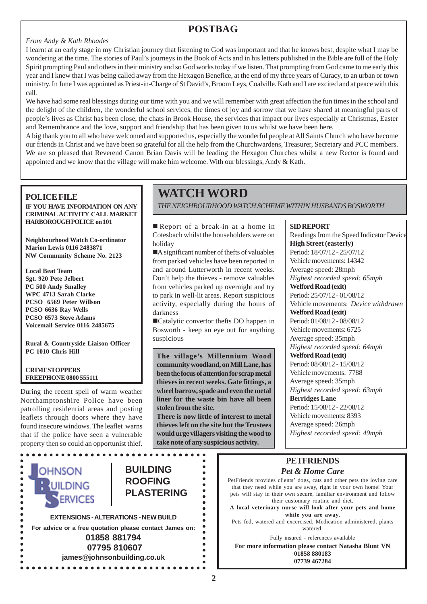# **POSTBAG**

#### *From Andy & Kath Rhoades*

I learnt at an early stage in my Christian journey that listening to God was important and that he knows best, despite what I may be wondering at the time. The stories of Paul's journeys in the Book of Acts and in his letters published in the Bible are full of the Holy Spirit prompting Paul and others in their ministry and so God works today if we listen. That prompting from God came to me early this year and I knew that I was being called away from the Hexagon Benefice, at the end of my three years of Curacy, to an urban or town ministry. In June I was appointed as Priest-in-Charge of St David's, Broom Leys, Coalville. Kath and I are excited and at peace with this call.

We have had some real blessings during our time with you and we will remember with great affection the fun times in the school and the delight of the children, the wonderful school services, the times of joy and sorrow that we have shared at meaningful parts of people's lives as Christ has been close, the chats in Brook House, the services that impact our lives especially at Christmas, Easter and Remembrance and the love, support and friendship that has been given to us whilst we have been here.

A big thank you to all who have welcomed and supported us, especially the wonderful people at All Saints Church who have become our friends in Christ and we have been so grateful for all the help from the Churchwardens, Treasurer, Secretary and PCC members. We are so pleased that Reverend Canon Brian Davis will be leading the Hexagon Churches whilst a new Rector is found and appointed and we know that the village will make him welcome. With our blessings, Andy & Kath.

### **POLICE FILE**

**IF YOU HAVE INFORMATION ON ANY CRIMINAL ACTIVITY CALL MARKET HARBOROUGH POLICE on 101**

**Neighbourhood Watch Co-ordinator Marion Lewis 0116 2483871 NW Community Scheme No. 2123**

**Local Beat Team Sgt. 920 Pete Jelbert PC 500 Andy Smalley WPC 4713 Sarah Clarke PCSO 6569 Peter Willson PCSO 6636 Ray Wells PCSO 6573 Steve Adams Voicemail Service 0116 2485675**

**Rural & Countryside Liaison Officer PC 1010 Chris Hill**

#### **CRIMESTOPPERS FREEPHONE 0800 555111**

During the recent spell of warm weather Northamptonshire Police have been patrolling residential areas and posting leaflets through doors where they have found insecure windows. The leaflet warns that if the police have seen a vulnerable property then so could an opportunist thief.



 **07795 810607 james@johnsonbuilding.co.uk**

# **WATCH WORD**

*THE NEIGHBOURHOOD WATCH SCHEME WITHIN HUSBANDS BOSWORTH*

Report of a break-in at a home in Cotesbach whilst the householders were on holiday

A significant number of thefts of valuables from parked vehicles have been reported in and around Lutterworth in recent weeks. Don't help the thieves - remove valuables from vehicles parked up overnight and try to park in well-lit areas. Report suspicious activity, especially during the hours of darkness

!Catalytic convertor thefts DO happen in Bosworth - keep an eye out for anything suspicious

**The village's Millennium Wood community woodland, on Mill Lane, has been the focus of attention for scrap metal thieves in recent weeks. Gate fittings, a wheel barrow, spade and even the metal liner for the waste bin have all been stolen from the site.**

**There is now little of interest to metal thieves left on the site but the Trustees would urge villagers visiting the wood to take note of any suspicious activity.**

 $\bullet$ 

 $\bullet$  $\bullet$ 

 $\bullet$  $\bullet$  $\bullet$ 

 $\bullet$ 

 $\bullet$  $\bullet$ 

# **SID REPORT**

Readings from the Speed Indicator Device **High Street (easterly)** Period: 18/07/12 - 25/07/12 Vehicle movements: 14342 Average speed: 28mph *Highest recorded speed: 65mph* **Welford Road (exit)** Period: 25/07/12 - 01/08/12 Vehicle movements: *Device withdrawn* **Welford Road (exit)** Period: 01/08/12 - 08/08/12 Vehicle movements: 6725 Average speed: 35mph *Highest recorded speed: 64mph* **Welford Road (exit)** Period: 08/08/12 - 15/08/12 Vehicle movements: 7788 Average speed: 35mph *Highest recorded speed: 63mph* **Berridges Lane** Period: 15/08/12 - 22/08/12 Vehicle movements: 8393 Average speed: 26mph *Highest recorded speed: 49mph*

# **PETFRIENDS** *Pet & Home Care*

PetFriends provides clients' dogs, cats and other pets the loving care that they need while you are away, right in your own home! Your pets will stay in their own secure, familiar environment and follow their customary routine and diet.

**A local veterinary nurse will look after your pets and home while you are away.**

Pets fed, watered and excercised. Medication administered, plants watered.

Fully insured - references available

**For more information please contact Natasha Blunt VN 01858 880183 07739 467284**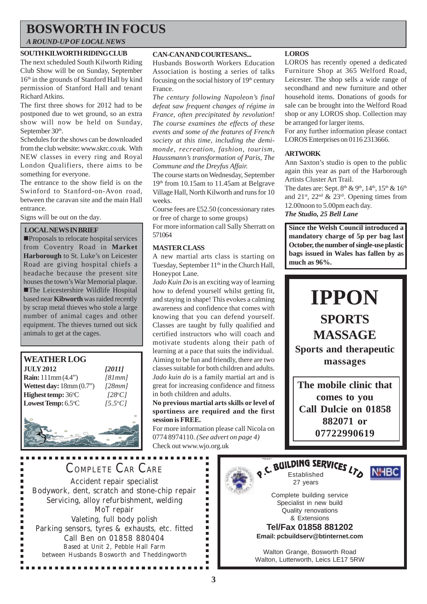# **BOSWORTH IN FOCUS**

## *A ROUND-UP OF LOCAL NEWS*

### **SOUTH KILWORTH RIDING CLUB**

The next scheduled South Kilworth Riding Club Show will be on Sunday, September 16th in the grounds of Stanford Hall by kind permission of Stanford Hall and tenant Richard Atkins.

The first three shows for 2012 had to be postponed due to wet ground, so an extra show will now be held on Sunday, September 30<sup>th</sup>.

Schedules for the shows can be downloaded from the club website: www.skrc.co.uk. With NEW classes in every ring and Royal London Qualifiers, there aims to be something for everyone.

The entrance to the show field is on the Swinford to Stanford-on-Avon road, between the caravan site and the main Hall entrance.

Signs will be out on the day.

#### **LOCAL NEWS IN BRIEF**

!Proposals to relocate hospital services from Coventry Road in **Market Harborough** to St. Luke's on Leicester Road are giving hospital chiefs a headache because the present site houses the town's War Memorial plaque. !The Leicestershire Wildlife Hospital based near **Kibworth** was raided recently by scrap metal thieves who stole a large number of animal cages and other equipment. The thieves turned out sick animals to get at the cages.



#### **CAN-CAN AND COURTESANS...**

Husbands Bosworth Workers Education Association is hosting a series of talks focusing on the social history of  $19<sup>th</sup>$  century France.

*The century following Napoleon's final defeat saw frequent changes of régime in France, often precipitated by revolution! The course examines the effects of these events and some of the features of French society at this time, including the demimonde, recreation, fashion, tourism, Haussmann's transformation of Paris, The Commune and the Dreyfus Affair.*

The course starts on Wednesday, September 19th from 10.15am to 11.45am at Belgrave Village Hall, North Kilworth and runs for 10 weeks.

Course fees are £52.50 (concessionary rates or free of charge to some groups)

For more information call Sally Sherratt on 571064

#### **MASTER CLASS**

A new martial arts class is starting on Tuesday, September  $11<sup>th</sup>$  in the Church Hall, Honeypot Lane.

*Jado Kuin Do* is an exciting way of learning how to defend yourself whilst getting fit, and staying in shape! This evokes a calming awareness and confidence that comes with knowing that you can defend yourself. Classes are taught by fully qualified and certified instructors who will coach and motivate students along their path of learning at a pace that suits the individual. Aiming to be fun and friendly, there are two classes suitable for both children and adults. *Jado kuin do* is a family martial art and is great for increasing confidence and fitness in both children and adults.

**No previous martial arts skills or level of sportiness are required and the first session is FREE.**

For more information please call Nicola on 0774 8974110. *(See advert on page 4)* Check out www.wjo.org.uk

**LOROS**

LOROS has recently opened a dedicated Furniture Shop at 365 Welford Road, Leicester. The shop sells a wide range of secondhand and new furniture and other household items. Donations of goods for sale can be brought into the Welford Road shop or any LOROS shop. Collection may be arranged for larger items.

For any further information please contact LOROS Enterprises on 0116 2313666.

### **ARTWORK**

Ann Saxton's studio is open to the public again this year as part of the Harborough Artists Cluster Art Trail.

The dates are: Sept.  $8<sup>th</sup>$  &  $9<sup>th</sup>$ ,  $14<sup>th</sup>$ ,  $15<sup>th</sup>$  &  $16<sup>th</sup>$ and 21<sup>st</sup>, 22<sup>nd</sup> & 23<sup>rd</sup>. Opening times from 12.00noon to 5.00pm each day. *The Studio, 25 Bell Lane*

**Since the Welsh Council introduced a mandatory charge of 5p per bag last October, the number of single-use plastic bags issued in Wales has fallen by as much as 96%.**



**The mobile clinic that comes to you Call Dulcie on 01858 882071 or 07722990619**

COMPLETE CAR CARE Accident repair specialist Bodywork, dent, scratch and stone-chip repair Servicing, alloy refurbishment, welding MoT repair Valeting, full body polish Parking sensors, tyres & exhausts, etc. fitted Call Ben on 01858 880404 Based at Unit 2, Pebble Hall Farm between Husbands Bosworth and Theddingworth

................

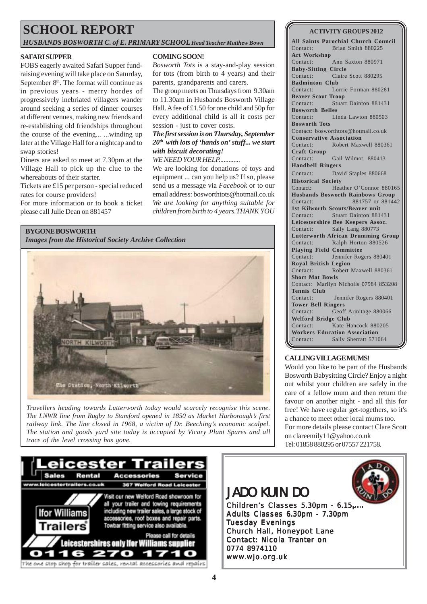# **SCHOOL REPORT**

*HUSBANDS BOSWORTH C. of E. PRIMARY SCHOOL Head Teacher Matthew Bown*

#### **SAFARI SUPPER**

FOBS eagerly awaited Safari Supper fundraising evening will take place on Saturday, September 8<sup>th</sup>. The format will continue as in previous years - merry hordes of progressively inebriated villagers wander around seeking a series of dinner courses at different venues, making new friends and re-establishing old friendships throughout the course of the evening... ...winding up later at the Village Hall for a nightcap and to swap stories!

Diners are asked to meet at 7.30pm at the Village Hall to pick up the clue to the whereabouts of their starter.

Tickets are £15 per person - special reduced rates for course providers!

For more information or to book a ticket please call Julie Dean on 881457

#### **BYGONE BOSWORTH**

*Images from the Historical Society Archive Collection*



*Travellers heading towards Lutterworth today would scarcely recognise this scene. The LNWR line from Rugby to Stamford opened in 1850 as Market Harborough's first railway link. The line closed in 1968, a victim of Dr. Beeching's economic scalpel. The station and goods yard site today is occupied by Vicary Plant Spares and all trace of the level crossing has gone.*

#### **COMING SOON!**

*Bosworth Tots* is a stay-and-play session for tots (from birth to 4 years) and their parents, grandparents and carers.

The group meets on Thursdays from 9.30am to 11.30am in Husbands Bosworth Village Hall. A fee of £1.50 for one child and 50p for every additional child is all it costs per session - just to cover costs.

*The first session is on Thursday, September 20th with lots of 'hands on' stuff... we start with biscuit decorating!*

## *WE NEED YOUR HELP.............*

We are looking for donations of toys and equipment ... can you help us? If so, please send us a message via *Facebook* or to our email address: bosworthtots@hotmail.co.uk *We are looking for anything suitable for children from birth to 4 years.THANK YOU*



#### **CALLING VILLAGE MUMS!**

Would you like to be part of the Husbands Bosworth Babysitting Circle? Enjoy a night out whilst your children are safely in the care of a fellow mum and then return the favour on another night - and all this for free! We have regular get-togethers, so it's a chance to meet other local mums too. For more details please contact Clare Scott on clareemily11@yahoo.co.uk Tel: 01858 880295 or 07557 221758.





Adults Classes 6.30pm - 7.30pm Tuesday Evenings Church Hall, Honeypot Lane Contact: Nicola Tranter on 0774 8974110 www.wjo.org.uk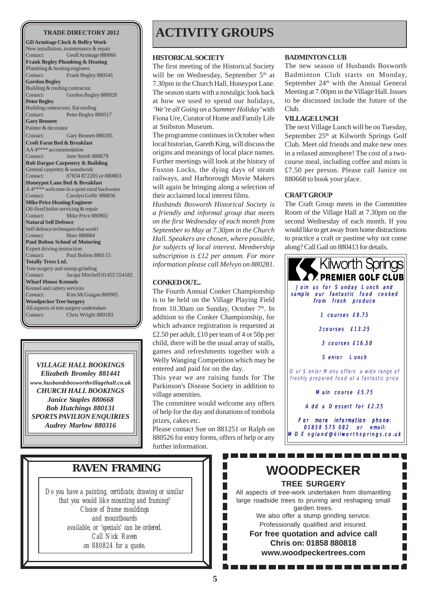**GD Armitage Clock & Belfry Work** New installation, maintenance & repair Contact: Geoff Armitage 880066 **Frank Begley Plumbing & Heating** Plumbing & heating engineer. Contact: Frank Begley 880541 **Gordon Begley** Building & roofing contractor. Contact: Gordon Begley 880028 **Peter Begley** Building contractors, flat roofing Contact: Peter Begley 880517 **Gary Bennett** Painter & decorator Contact: Gary Bennett 880285 **Croft Farm Bed & Breakfast** AA 4\*\*\*\* accommodation Contact: Jane Smith 880679 **Rob Dargue Carpentry & Building** General carpentry & woodwork Contact: 07834 872205 or 880803 **Honeypot Lane Bed & Breakfast** A 4\*\*\*\* welcome in a quiet rural backwater Contact: Carolyn Goffe 880836 **Mike Price Heating Engineer** Oil-fired boiler servicing & repair<br>Contact: Mike Price 880 Mike Price 880902 **Natural Self Defence** Self defence techniques that work! Contact: Marc 880884 **Paul Bolton School of Motoring** Expert driving instruction Contact: Paul Bolton 880115 **Totally Trees Ltd.** Tree surgery and stump grinding Contact: Jacqui Mitchell 01455 554182 **Wharf House Kennels** Kennel and cattery services Contact: Kim McGuigan 880905 **Woodpecker Tree Surgery** All aspects of tree surgery undertaken Contact: Chris Wright 880183

*VILLAGE HALL BOOKINGS Elizabeth Bromley 881441 www.husbandsbosworthvillagehall.co.uk CHURCH HALL BOOKINGS Janice Staples 880668 Bob Hutchings 880131 SPORTS PAVILION ENQUIRIES Audrey Marlow 880316*

# TRADE DIRECTORY 2012 **ACTIVITY GROUPS**

#### **HISTORICAL SOCIETY**

The first meeting of the Historical Society will be on Wednesday, September 5<sup>th</sup> at 7.30pm in the Church Hall, Honeypot Lane. The season starts with a nostalgic look back at how we used to spend our holidays, *'We're all Going on a Summer Holiday'* with Fiona Ure, Curator of Home and Family Life at Snibston Museum.

The programme continues in October when local historian, Gareth King, will discuss the origins and meanings of local place names. Further meetings will look at the history of Foxton Locks, the dying days of steam railways, and Harborough Movie Makers will again be bringing along a selection of their acclaimed local interest films.

*Husbands Bosworth Historical Society is a friendly and informal group that meets on the first Wednesday of each month from September to May at 7.30pm in the Church Hall. Speakers are chosen, where possible, for subjects of local interest. Membership subscription is £12 per annum. For more information please call Melvyn on 880281.*

#### **CONKED OUT...**

The Fourth Annual Conker Championship is to be held on the Village Playing Field from 10.30am on Sunday, October 7<sup>th</sup>. In addition to the Conker Championship, for which advance registration is requested at £2.50 per adult, £10 per team of 4 or 50p per child, there will be the usual array of stalls, games and refreshments together with a Welly Wanging Competition which may be entered and paid for on the day.

This year we are raising funds for The Parkinson's Disease Society in addition to village amenities.

The committee would welcome any offers of help for the day and donations of tombola prizes, cakes etc.

Please contact Sue on 881251 or Ralph on 880526 for entry forms, offers of help or any further information.

F

Г Г

#### **BADMINTON CLUB**

The new season of Husbands Bosworth Badminton Club starts on Monday, September 24<sup>th</sup> with the Annual General Meeting at 7.00pm in the Village Hall. Issues to be discussed include the future of the  $C<sub>lnh</sub>$ 

#### **VILLAGE LUNCH**

The next Village Lunch will be on Tuesday, September 25<sup>th</sup> at Kilworth Springs Golf Club. Meet old friends and make new ones in a relaxed atmosphere! The cost of a twocourse meal, including coffee and mints is £7.50 per person. Please call Janice on 880668 to book your place.

#### **CRAFT GROUP**

The Craft Group meets in the Committee Room of the Village Hall at 7.30pm on the second Wednesday of each month. If you would like to get away from home distractions to practice a craft or pastime why not come along? Call Gail on 880413 for details.



 $\overline{\phantom{a}}$ 

Г

*Do you have a painting, certificate, drawing or similar that you would like mounting and framing? Choice of frame mouldings and mountboards available, or 'specials' can be ordered. Call Nick Raven on 880824 for a quote.*

# **RAVEN FRAMING WOODPECKER**

----------

**TREE SURGERY**

All aspects of tree-work undertaken from dismantling large roadside trees to pruning and reshaping small garden trees.

We also offer a stump grinding service. Professionally qualified and insured.

**For free quotation and advice call Chris on: 01858 880818 www.woodpeckertrees.com**

. . . . . . .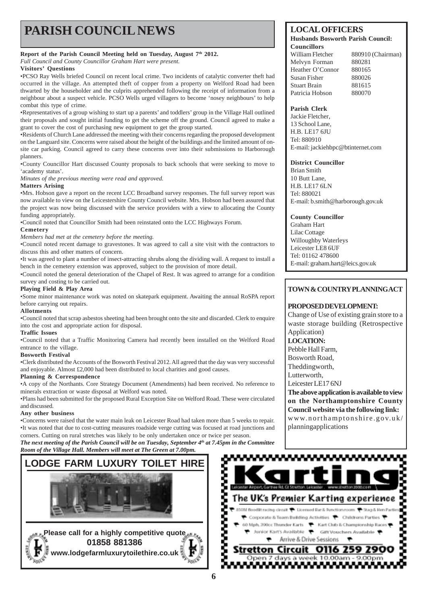# **PARISH COUNCIL NEWS** LOCAL OFFICERS

#### **Report of the Parish Council Meeting held on Tuesday, August 7th 2012.**

*Full Council and County Councillor Graham Hart were present.*

#### **Visitors' Questions**

•PCSO Ray Wells briefed Council on recent local crime. Two incidents of catalytic converter theft had occurred in the village. An attempted theft of copper from a property on Welford Road had been thwarted by the householder and the culprits apprehended following the receipt of information from a neighbour about a suspect vehicle. PCSO Wells urged villagers to become 'nosey neighbours' to help combat this type of crime.

•Representatives of a group wishing to start up a parents' and toddlers' group in the Village Hall outlined their proposals and sought initial funding to get the scheme off the ground. Council agreed to make a grant to cover the cost of purchasing new equipment to get the group started.

•Residents of Church Lane addressed the meeting with their concerns regarding the proposed development on the Languard site. Concerns were raised about the height of the buildings and the limited amount of onsite car parking. Council agreed to carry these concerns over into their submissions to Harborough planners.

•County Councillor Hart discussed County proposals to back schools that were seeking to move to 'academy status'.

*Minutes of the previous meeting were read and approved.*

#### **Matters Arising**

•Mrs. Hobson gave a report on the recent LCC Broadband survey responses. The full survey report was now available to view on the Leicestershire County Council website. Mrs. Hobson had been assured that the project was now being discussed with the service providers with a view to allocating the County funding appropriately.

•Council noted that Councillor Smith had been reinstated onto the LCC Highways Forum.

#### **Cemetery**

*Members had met at the cemetery before the meeting.*

•Council noted recent damage to gravestones. It was agreed to call a site visit with the contractors to discuss this and other matters of concern.

•It was agreed to plant a number of insect-attracting shrubs along the dividing wall. A request to install a bench in the cemetery extension was approved, subject to the provision of more detail.

•Council noted the general deterioration of the Chapel of Rest. It was agreed to arrange for a condition survey and costing to be carried out.

#### **Playing Field & Play Area**

•Some minor maintenance work was noted on skatepark equipment. Awaiting the annual RoSPA report before carrying out repairs.

#### **Allotments**

•Council noted that scrap asbestos sheeting had been brought onto the site and discarded. Clerk to enquire into the cost and appropriate action for disposal.

#### **Traffic Issues**

•Council noted that a Traffic Monitoring Camera had recently been installed on the Welford Road entrance to the village.

#### **Bosworth Festival**

•Clerk distributed the Accounts of the Bosworth Festival 2012. All agreed that the day was very successful and enjoyable. Almost £2,000 had been distributed to local charities and good causes.

#### **Planning & Correspondence**

•A copy of the Northants. Core Strategy Document (Amendments) had been received. No reference to minerals extraction or waste disposal at Welford was noted.

•Plans had been submitted for the proposed Rural Exception Site on Welford Road. These were circulated and discussed.

#### **Any other business**

•Concerns were raised that the water main leak on Leicester Road had taken more than 5 weeks to repair. •It was noted that due to cost-cutting measures roadside verge cutting was focused at road junctions and corners. Cutting on rural stretches was likely to be only undertaken once or twice per season.

*The next meeting of the Parish Council will be on Tuesday, September 4th at 7.45pm in the Committee Room of the Village Hall. Members will meet at The Green at 7.00pm.*



#### **Husbands Bosworth Parish Council: Councillors**

William Fletcher 880910 (Chairman) Melvyn Forman 880281 Heather O'Connor 880165 Susan Fisher 880026 Stuart Brain 881615 Patricia Hobson 880070

#### **Parish Clerk**

Jackie Fletcher, 13 School Lane, HR LE17 6JU Tel: 880910 E-mail: jackiehbpc@btinternet.com

#### **District Councillor**

Brian Smith 10 Butt Lane, H.B. LE17 6LN Tel: 880021 E-mail: b.smith@harborough.gov.uk

**County Councillor**

Graham Hart Lilac Cottage Willoughby Waterleys Leicester LE8 6UF Tel: 01162 478600 E-mail: graham.hart@leics.gov.uk

## **TOWN & COUNTRY PLANNINGACT**

### **PROPOSED DEVELOPMENT:**

Change of Use of existing grain store to a waste storage building (Retrospective Application) **LOCATION:**

Pebble Hall Farm,

Bosworth Road,

Theddingworth,

Lutterworth,

Leicester LE17 6NJ

**The above application is available to view on the Northamptonshire County Council website via the following link:** www.northamptonshire.gov.uk/

planningapplications

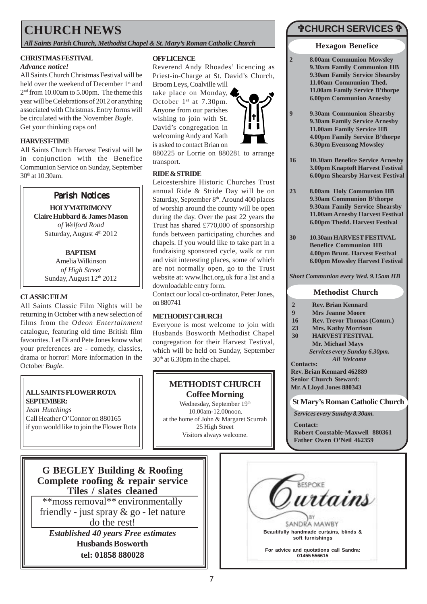# **CHURCH NEWS**

*All Saints Parish Church, Methodist Chapel & St. Mary's Roman Catholic Church*

## **CHRISTMAS FESTIVAL**

#### *Advance notice!*

All Saints Church Christmas Festival will be held over the weekend of December 1<sup>st</sup> and 2<sup>nd</sup> from 10.00am to 5.00pm. The theme this year will be Celebrations of 2012 or anything associated with Christmas. Entry forms will be circulated with the November *Bugle*. Get your thinking caps on!

## **HARVEST-TIME**

All Saints Church Harvest Festival will be in conjunction with the Benefice Communion Service on Sunday, September 30th at 10.30am.



**HOLY MATRIMONY Claire Hubbard & James Mason** *of Welford Road* Saturday, August 4th 2012

## **BAPTISM**

Amelia Wilkinson *of High Street* Sunday, August 12th 2012

## **CLASSIC FILM**

All Saints Classic Film Nights will be returning in October with a new selection of films from the *Odeon Entertainment* catalogue, featuring old time British film favourites. Let Di and Pete Jones know what your preferences are - comedy, classics, drama or horror! More information in the October *Bugle*.

#### **ALL SAINTS FLOWER ROTA SEPTEMBER:**

*Jean Hutchings* Call Heather O'Connor on 880165 if you would like to join the Flower Rota

### **OFF LICENCE**

Reverend Andy Rhoades' licencing as Priest-in-Charge at St. David's Church, Broom Leys, Coalville will

take place on Monday, October 1<sup>st</sup> at 7.30pm. Anyone from our parishes wishing to join with St. David's congregation in welcoming Andy and Kath is asked to contact Brian on



880225 or Lorrie on 880281 to arrange transport.

#### **RIDE & STRIDE**

Leicestershire Historic Churches Trust annual Ride & Stride Day will be on Saturday, September 8<sup>th</sup>. Around 400 places of worship around the county will be open during the day. Over the past 22 years the Trust has shared £770,000 of sponsorship funds between participating churches and chapels. If you would like to take part in a fundraising sponsored cycle, walk or run and visit interesting places, some of which are not normally open, go to the Trust website at: www.lhct.org.uk for a list and a downloadable entry form.

Contact our local co-ordinator, Peter Jones, on 880741

### **METHODIST CHURCH**

Everyone is most welcome to join with Husbands Bosworth Methodist Chapel congregation for their Harvest Festival, which will be held on Sunday, September 30<sup>th</sup> at 6.30pm in the chapel.

# **METHODIST CHURCH Coffee Morning**

Wednesday, September 19th 10.00am-12.00noon. at the home of John & Margaret Scurrah 25 High Street Visitors always welcome.

# "**CHURCH SERVICES** "

#### **Hexagon Benefice**

- **2 8.00am Communion Mowsley 9.30am Family Communion HB 9.30am Family Service Shearsby 11.00am Communion Thed. 11.00am Family Service B'thorpe 6.00pm Communion Arnesby**
- **9 9.30am Communion Shearsby 9.30am Family Service Arnesby 11.00am Family Service HB 4.00pm Family Service B'thorpe 6.30pm Evensong Mowsley**
- **16 10.30am Benefice Service Arnesby 3.00pm Knaptoft Harvest Festival 6.00pm Shearsby Harvest Festival**
- **23 8.00am Holy Communion HB 9.30am Communion B'thorpe 9.30am Family Service Shearsby 11.00am Arnesby Harvest Festival 6.00pm Thedd. Harvest Festival**
- **30 10.30am HARVEST FESTIVAL Benefice Communion HB 4.00pm Brunt. Harvest Festival 6.00pm Mowsley Harvest Festival**

*Short Communion every Wed. 9.15am HB*

## **Methodist Church**

- **2 Rev. Brian Kennard**
- **9 Mrs Jeanne Moore**
- **16 Rev. Trevor Thomas (Comm.)**
- **23 Mrs. Kathy Morrison**
- **30 HARVEST FESTIVAL Mr. Michael Mays** *Services every Sunday 6.30pm.*

**Contacts:** *All Welcome*

**Rev. Brian Kennard 462889 Senior Church Steward: Mr. A Lloyd Jones 880343**

## **St Mary's Roman Catholic Church**

*Services every Sunday 8.30am.*

**Contact: Robert Constable-Maxwell 880361 Father Owen O'Neil 462359**

**G BEGLEY Building & Roofing Complete roofing & repair service Tiles / slates cleaned**

\*\*moss removal\*\* environmentally friendly - just spray & go - let nature do the rest!

*Established 40 years Free estimates* **Husbands Bosworth tel: 01858 880028**